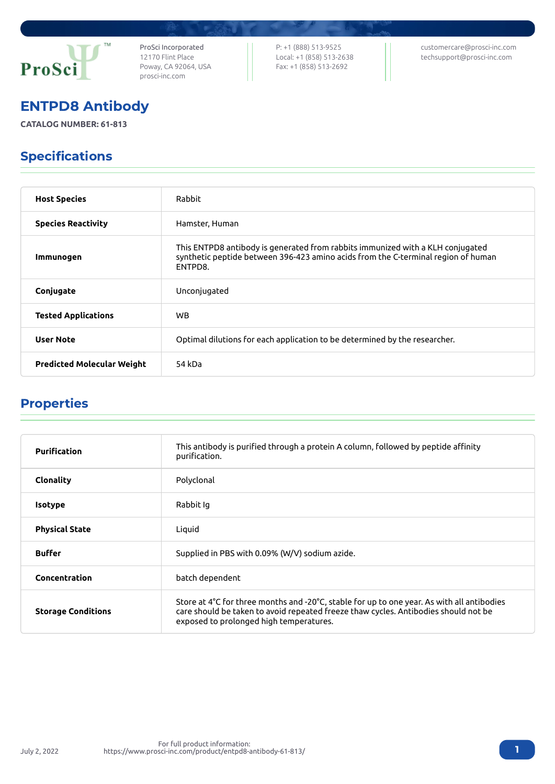

ProSci Incorporated 12170 Flint Place Poway, CA 92064, USA [prosci-inc.com](https://prosci-inc.com/)

P: +1 (888) 513-9525 Local: +1 (858) 513-2638 Fax: +1 (858) 513-2692

[customercare@prosci-inc.com](mailto:customercare@prosci-inc.com) [techsupport@prosci-inc.com](mailto:techsupport@prosci-inc.com)

# ENTPD8 Antibody

**CATALOG NUMBER: 61-813**

# Specifications

| <b>Host Species</b>               | Rabbit                                                                                                                                                                         |
|-----------------------------------|--------------------------------------------------------------------------------------------------------------------------------------------------------------------------------|
| <b>Species Reactivity</b>         | Hamster, Human                                                                                                                                                                 |
| Immunogen                         | This ENTPD8 antibody is generated from rabbits immunized with a KLH conjugated<br>synthetic peptide between 396-423 amino acids from the C-terminal region of human<br>ENTPD8. |
| Conjugate                         | Unconjugated                                                                                                                                                                   |
| <b>Tested Applications</b>        | <b>WB</b>                                                                                                                                                                      |
| <b>User Note</b>                  | Optimal dilutions for each application to be determined by the researcher.                                                                                                     |
| <b>Predicted Molecular Weight</b> | 54 kDa                                                                                                                                                                         |

## Properties

| <b>Purification</b>       | This antibody is purified through a protein A column, followed by peptide affinity<br>purification.                                                                                                                          |
|---------------------------|------------------------------------------------------------------------------------------------------------------------------------------------------------------------------------------------------------------------------|
| <b>Clonality</b>          | Polyclonal                                                                                                                                                                                                                   |
| <b>Isotype</b>            | Rabbit Ig                                                                                                                                                                                                                    |
| <b>Physical State</b>     | Liquid                                                                                                                                                                                                                       |
| <b>Buffer</b>             | Supplied in PBS with 0.09% (W/V) sodium azide.                                                                                                                                                                               |
| Concentration             | batch dependent                                                                                                                                                                                                              |
| <b>Storage Conditions</b> | Store at 4°C for three months and -20°C, stable for up to one year. As with all antibodies<br>care should be taken to avoid repeated freeze thaw cycles. Antibodies should not be<br>exposed to prolonged high temperatures. |